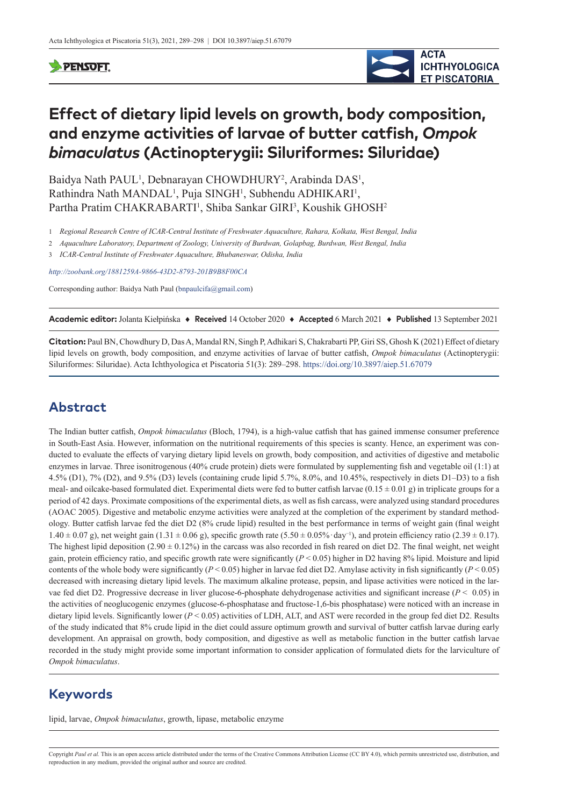### **SPENSOFT**



# **Effect of dietary lipid levels on growth, body composition, and enzyme activities of larvae of butter catfish,** *Ompok bimaculatus* **(Actinopterygii: Siluriformes: Siluridae)**

Baidya Nath PAUL<sup>1</sup>, Debnarayan CHOWDHURY<sup>2</sup>, Arabinda DAS<sup>1</sup>, Rathindra Nath MANDAL<sup>1</sup>, Puja SINGH<sup>1</sup>, Subhendu ADHIKARI<sup>1</sup>, Partha Pratim CHAKRABARTI<sup>1</sup>, Shiba Sankar GIRI<sup>3</sup>, Koushik GHOSH<sup>2</sup>

1 *Regional Research Centre of ICAR-Central Institute of Freshwater Aquaculture, Rahara, Kolkata, West Bengal, India*

2 *Aquaculture Laboratory, Department of Zoology, University of Burdwan, Golapbag, Burdwan, West Bengal, India*

3 *ICAR-Central Institute of Freshwater Aquaculture, Bhubaneswar, Odisha, India*

*<http://zoobank.org/1881259A-9866-43D2-8793-201B9B8F00CA>*

Corresponding author: Baidya Nath Paul (bnpaulcifa@gmail.com)

**Academic editor:** Jolanta Kiełpińska ♦ **Received** 14 October 2020 ♦ **Accepted** 6 March 2021 ♦ **Published** 13 September 2021

**Citation:** Paul BN, Chowdhury D, Das A, Mandal RN, Singh P, Adhikari S, Chakrabarti PP, Giri SS, Ghosh K (2021) Effect of dietary lipid levels on growth, body composition, and enzyme activities of larvae of butter catfish, *Ompok bimaculatus* (Actinopterygii: Siluriformes: Siluridae). Acta Ichthyologica et Piscatoria 51(3): 289–298.<https://doi.org/10.3897/aiep.51.67079>

# **Abstract**

The Indian butter catfish, *Ompok bimaculatus* (Bloch, 1794), is a high-value catfish that has gained immense consumer preference in South-East Asia. However, information on the nutritional requirements of this species is scanty. Hence, an experiment was conducted to evaluate the effects of varying dietary lipid levels on growth, body composition, and activities of digestive and metabolic enzymes in larvae. Three isonitrogenous (40% crude protein) diets were formulated by supplementing fish and vegetable oil (1:1) at 4.5% (D1), 7% (D2), and 9.5% (D3) levels (containing crude lipid 5.7%, 8.0%, and 10.45%, respectively in diets D1–D3) to a fish meal- and oilcake-based formulated diet. Experimental diets were fed to butter catfish larvae  $(0.15 \pm 0.01 \text{ g})$  in triplicate groups for a period of 42 days. Proximate compositions of the experimental diets, as well as fish carcass, were analyzed using standard procedures (AOAC 2005). Digestive and metabolic enzyme activities were analyzed at the completion of the experiment by standard methodology. Butter catfish larvae fed the diet D2 (8% crude lipid) resulted in the best performance in terms of weight gain (final weight  $1.40 \pm 0.07$  g), net weight gain (1.31 ± 0.06 g), specific growth rate (5.50 ± 0.05% · day<sup>-1</sup>), and protein efficiency ratio (2.39 ± 0.17). The highest lipid deposition  $(2.90 \pm 0.12\%)$  in the carcass was also recorded in fish reared on diet D2. The final weight, net weight gain, protein efficiency ratio, and specific growth rate were significantly (*P* < 0.05) higher in D2 having 8% lipid. Moisture and lipid contents of the whole body were significantly ( $P < 0.05$ ) higher in larvae fed diet D2. Amylase activity in fish significantly ( $P < 0.05$ ) decreased with increasing dietary lipid levels. The maximum alkaline protease, pepsin, and lipase activities were noticed in the larvae fed diet D2. Progressive decrease in liver glucose-6-phosphate dehydrogenase activities and significant increase (*P* < 0.05) in the activities of neoglucogenic enzymes (glucose-6-phosphatase and fructose-1,6-bis phosphatase) were noticed with an increase in dietary lipid levels. Significantly lower (*P* < 0.05) activities of LDH, ALT, and AST were recorded in the group fed diet D2. Results of the study indicated that 8% crude lipid in the diet could assure optimum growth and survival of butter catfish larvae during early development. An appraisal on growth, body composition, and digestive as well as metabolic function in the butter catfish larvae recorded in the study might provide some important information to consider application of formulated diets for the larviculture of *Ompok bimaculatus*.

# **Keywords**

lipid, larvae, *Ompok bimaculatus*, growth, lipase, metabolic enzyme

Copyright Paul et al. This is an open access article distributed under the terms of the [Creative Commons Attribution License \(CC BY 4.0\)](http://creativecommons.org/licenses/by/4.0/), which permits unrestricted use, distribution, and reproduction in any medium, provided the original author and source are credited.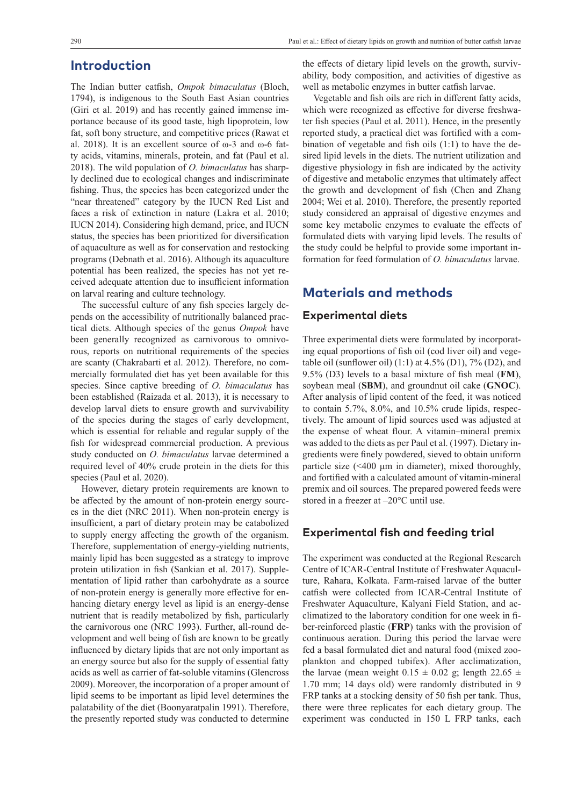### **Introduction**

The Indian butter catfish, *Ompok bimaculatus* (Bloch, 1794), is indigenous to the South East Asian countries (Giri et al. 2019) and has recently gained immense importance because of its good taste, high lipoprotein, low fat, soft bony structure, and competitive prices (Rawat et al. 2018). It is an excellent source of ω-3 and ω-6 fatty acids, vitamins, minerals, protein, and fat (Paul et al. 2018). The wild population of *O. bimaculatus* has sharply declined due to ecological changes and indiscriminate fishing. Thus, the species has been categorized under the "near threatened" category by the IUCN Red List and faces a risk of extinction in nature (Lakra et al. 2010; IUCN 2014). Considering high demand, price, and IUCN status, the species has been prioritized for diversification of aquaculture as well as for conservation and restocking programs (Debnath et al. 2016). Although its aquaculture potential has been realized, the species has not yet received adequate attention due to insufficient information on larval rearing and culture technology.

The successful culture of any fish species largely depends on the accessibility of nutritionally balanced practical diets. Although species of the genus *Ompok* have been generally recognized as carnivorous to omnivorous, reports on nutritional requirements of the species are scanty (Chakrabarti et al. 2012). Therefore, no commercially formulated diet has yet been available for this species. Since captive breeding of *O. bimaculatus* has been established (Raizada et al. 2013), it is necessary to develop larval diets to ensure growth and survivability of the species during the stages of early development, which is essential for reliable and regular supply of the fish for widespread commercial production. A previous study conducted on *O. bimaculatus* larvae determined a required level of 40% crude protein in the diets for this species (Paul et al. 2020).

However, dietary protein requirements are known to be affected by the amount of non-protein energy sources in the diet (NRC 2011). When non-protein energy is insufficient, a part of dietary protein may be catabolized to supply energy affecting the growth of the organism. Therefore, supplementation of energy-yielding nutrients, mainly lipid has been suggested as a strategy to improve protein utilization in fish (Sankian et al. 2017). Supplementation of lipid rather than carbohydrate as a source of non-protein energy is generally more effective for enhancing dietary energy level as lipid is an energy-dense nutrient that is readily metabolized by fish, particularly the carnivorous one (NRC 1993). Further, all-round development and well being of fish are known to be greatly influenced by dietary lipids that are not only important as an energy source but also for the supply of essential fatty acids as well as carrier of fat-soluble vitamins (Glencross 2009). Moreover, the incorporation of a proper amount of lipid seems to be important as lipid level determines the palatability of the diet (Boonyaratpalin 1991). Therefore, the presently reported study was conducted to determine

the effects of dietary lipid levels on the growth, survivability, body composition, and activities of digestive as well as metabolic enzymes in butter catfish larvae.

Vegetable and fish oils are rich in different fatty acids, which were recognized as effective for diverse freshwater fish species (Paul et al. 2011). Hence, in the presently reported study, a practical diet was fortified with a combination of vegetable and fish oils (1:1) to have the desired lipid levels in the diets. The nutrient utilization and digestive physiology in fish are indicated by the activity of digestive and metabolic enzymes that ultimately affect the growth and development of fish (Chen and Zhang 2004; Wei et al. 2010). Therefore, the presently reported study considered an appraisal of digestive enzymes and some key metabolic enzymes to evaluate the effects of formulated diets with varying lipid levels. The results of the study could be helpful to provide some important information for feed formulation of *O. bimaculatus* larvae.

# **Materials and methods**

#### **Experimental diets**

Three experimental diets were formulated by incorporating equal proportions of fish oil (cod liver oil) and vegetable oil (sunflower oil)  $(1:1)$  at 4.5%  $(D1)$ , 7%  $(D2)$ , and 9.5% (D3) levels to a basal mixture of fish meal (**FM**), soybean meal (**SBM**), and groundnut oil cake (**GNOC**). After analysis of lipid content of the feed, it was noticed to contain 5.7%, 8.0%, and 10.5% crude lipids, respectively. The amount of lipid sources used was adjusted at the expense of wheat flour. A vitamin–mineral premix was added to the diets as per Paul et al. (1997). Dietary ingredients were finely powdered, sieved to obtain uniform particle size (<400 μm in diameter), mixed thoroughly, and fortified with a calculated amount of vitamin-mineral premix and oil sources. The prepared powered feeds were stored in a freezer at –20°C until use.

#### **Experimental fish and feeding trial**

The experiment was conducted at the Regional Research Centre of ICAR-Central Institute of Freshwater Aquaculture, Rahara, Kolkata. Farm-raised larvae of the butter catfish were collected from ICAR-Central Institute of Freshwater Aquaculture, Kalyani Field Station, and acclimatized to the laboratory condition for one week in fiber-reinforced plastic (**FRP**) tanks with the provision of continuous aeration. During this period the larvae were fed a basal formulated diet and natural food (mixed zooplankton and chopped tubifex). After acclimatization, the larvae (mean weight  $0.15 \pm 0.02$  g; length  $22.65 \pm 1.02$ 1.70 mm; 14 days old) were randomly distributed in 9 FRP tanks at a stocking density of 50 fish per tank. Thus, there were three replicates for each dietary group. The experiment was conducted in 150 L FRP tanks, each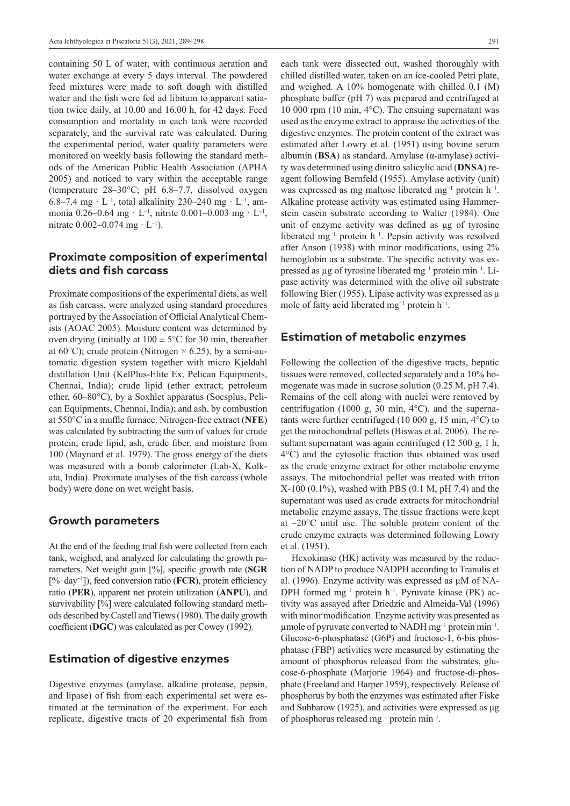containing 50 L of water, with continuous aeration and water exchange at every 5 days interval. The powdered feed mixtures were made to soft dough with distilled water and the fish were fed ad libitum to apparent satiation twice daily, at 10.00 and 16.00 h, for 42 days. Feed consumption and mortality in each tank were recorded separately, and the survival rate was calculated. During the experimental period, water quality parameters were monitored on weekly basis following the standard methods of the American Public Health Association (APHA 2005) and noticed to vary within the acceptable range (temperature 28–30°C; pH 6.8–7.7, dissolved oxygen 6.8–7.4 mg · L<sup>-1</sup>, total alkalinity 230–240 mg · L<sup>-1</sup>, ammonia 0.26–0.64 mg · L<sup>-1</sup>, nitrite 0.001–0.003 mg · L<sup>-1</sup>, nitrate  $0.002 - 0.074$  mg  $\cdot$  L<sup>-1</sup>).

### **Proximate composition of experimental diets and fish carcass**

Proximate compositions of the experimental diets, as well as fish carcass, were analyzed using standard procedures portrayed by the Association of Official Analytical Chemists (AOAC 2005). Moisture content was determined by oven drying (initially at  $100 \pm 5^{\circ}$ C for 30 min, thereafter at 60 $^{\circ}$ C); crude protein (Nitrogen  $\times$  6.25), by a semi-automatic digestion system together with micro Kjeldahl distillation Unit (KelPlus-Elite Ex, Pelican Equipments, Chennai, India); crude lipid (ether extract; petroleum ether, 60–80°C), by a Soxhlet apparatus (Socsplus, Pelican Equipments, Chennai, India); and ash, by combustion at 550°C in a muffle furnace. Nitrogen-free extract (**NFE**) was calculated by subtracting the sum of values for crude protein, crude lipid, ash, crude fiber, and moisture from 100 (Maynard et al. 1979). The gross energy of the diets was measured with a bomb calorimeter (Lab-X, Kolkata, India). Proximate analyses of the fish carcass (whole body) were done on wet weight basis.

#### **Growth parameters**

At the end of the feeding trial fish were collected from each tank, weighed, and analyzed for calculating the growth parameters. Net weight gain [%], specific growth rate (**SGR** [% · day−1]), feed conversion ratio (**FCR**), protein efficiency ratio (**PER**), apparent net protein utilization (**ANPU**), and survivability [%] were calculated following standard methods described by Castell and Tiews (1980). The daily growth coefficient (**DGC**) was calculated as per Cowey (1992).

#### **Estimation of digestive enzymes**

Digestive enzymes (amylase, alkaline protease, pepsin, and lipase) of fish from each experimental set were estimated at the termination of the experiment. For each replicate, digestive tracts of 20 experimental fish from

each tank were dissected out, washed thoroughly with chilled distilled water, taken on an ice-cooled Petri plate, and weighed. A 10% homogenate with chilled 0.1 (M) phosphate buffer (pH 7) was prepared and centrifuged at 10 000 rpm (10 min, 4°C). The ensuing supernatant was used as the enzyme extract to appraise the activities of the digestive enzymes. The protein content of the extract was estimated after Lowry et al. (1951) using bovine serum albumin (**BSA**) as standard. Amylase (α-amylase) activity was determined using dinitro salicylic acid (**DNSA**) reagent following Bernfeld (1955). Amylase activity (unit) was expressed as mg maltose liberated mg<sup>-1</sup> protein h<sup>-1</sup>. Alkaline protease activity was estimated using Hammerstein casein substrate according to Walter (1984). One unit of enzyme activity was defined as μg of tyrosine liberated mg−1 protein h−1. Pepsin activity was resolved after Anson (1938) with minor modifications, using 2% hemoglobin as a substrate. The specific activity was expressed as  $\mu$ g of tyrosine liberated mg<sup>-1</sup> protein min<sup>-1</sup>. Lipase activity was determined with the olive oil substrate following Bier (1955). Lipase activity was expressed as μ mole of fatty acid liberated mg<sup>-1</sup> protein  $h^{-1}$ .

#### **Estimation of metabolic enzymes**

Following the collection of the digestive tracts, hepatic tissues were removed, collected separately and a 10% homogenate was made in sucrose solution (0.25 M, pH 7.4). Remains of the cell along with nuclei were removed by centrifugation (1000 g, 30 min, 4°C), and the supernatants were further centrifuged  $(10\ 000\ \text{g}, 15\ \text{min}, 4^{\circ}\text{C})$  to get the mitochondrial pellets (Biswas et al. 2006). The resultant supernatant was again centrifuged (12 500 g, 1 h, 4°C) and the cytosolic fraction thus obtained was used as the crude enzyme extract for other metabolic enzyme assays. The mitochondrial pellet was treated with triton X-100 (0.1%), washed with PBS (0.1 M, pH 7.4) and the supernatant was used as crude extracts for mitochondrial metabolic enzyme assays. The tissue fractions were kept at –20°C until use. The soluble protein content of the crude enzyme extracts was determined following Lowry et al. (1951).

Hexokinase (HK) activity was measured by the reduction of NADP to produce NADPH according to Tranulis et al. (1996). Enzyme activity was expressed as µM of NA-DPH formed mg<sup>-1</sup> protein h<sup>-1</sup>. Pyruvate kinase (PK) activity was assayed after Driedzic and Almeida-Val (1996) with minor modification. Enzyme activity was presented as  $\mu$ mole of pyruvate converted to NADH mg<sup>-1</sup> protein min<sup>-1</sup>. Glucose-6-phosphatase (G6P) and fructose-1, 6-bis phosphatase (FBP) activities were measured by estimating the amount of phosphorus released from the substrates, glucose-6-phosphate (Marjorie 1964) and fructose-di-phosphate (Freeland and Harper 1959), respectively. Release of phosphorus by both the enzymes was estimated after Fiske and Subbarow (1925), and activities were expressed as μg of phosphorus released mg–1 protein min–1.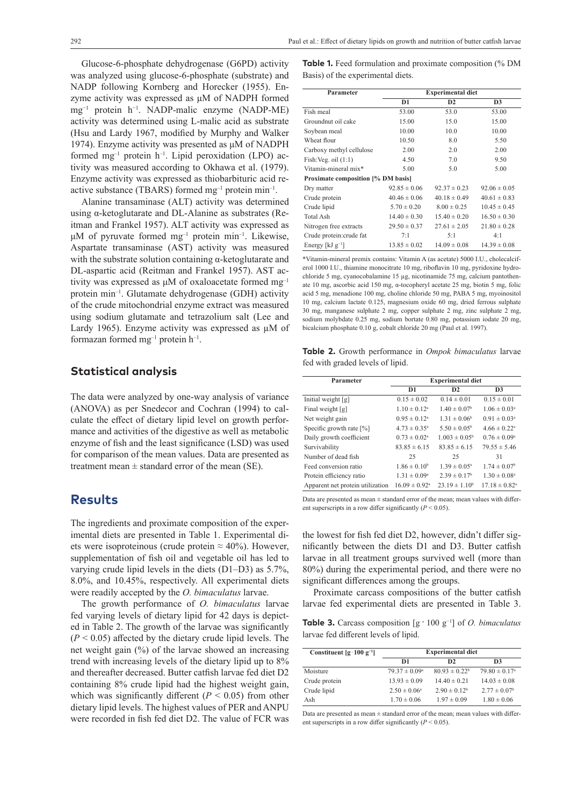Glucose-6-phosphate dehydrogenase (G6PD) activity was analyzed using glucose-6-phosphate (substrate) and NADP following Kornberg and Horecker (1955). Enzyme activity was expressed as μM of NADPH formed mg−1 protein h−1. NADP-malic enzyme (NADP-ME) activity was determined using L-malic acid as substrate (Hsu and Lardy 1967, modified by Murphy and Walker 1974). Enzyme activity was presented as μM of NADPH formed  $mg^{-1}$  protein  $h^{-1}$ . Lipid peroxidation (LPO) activity was measured according to Okhawa et al. (1979). Enzyme activity was expressed as thiobarbituric acid reactive substance (TBARS) formed  $mg^{-1}$  protein min<sup>-1</sup>.

Alanine transaminase (ALT) activity was determined using α-ketoglutarate and DL-Alanine as substrates (Reitman and Frankel 1957). ALT activity was expressed as μM of pyruvate formed  $mg^{-1}$  protein min<sup>-1</sup>. Likewise, Aspartate transaminase (AST) activity was measured with the substrate solution containing  $\alpha$ -ketoglutarate and DL-aspartic acid (Reitman and Frankel 1957). AST activity was expressed as μM of oxaloacetate formed mg–1 protein min–1. Glutamate dehydrogenase (GDH) activity of the crude mitochondrial enzyme extract was measured using sodium glutamate and tetrazolium salt (Lee and Lardy 1965). Enzyme activity was expressed as  $\mu$ M of formazan formed  $mg^{-1}$  protein  $h^{-1}$ .

#### **Statistical analysis**

The data were analyzed by one-way analysis of variance (ANOVA) as per Snedecor and Cochran (1994) to calculate the effect of dietary lipid level on growth performance and activities of the digestive as well as metabolic enzyme of fish and the least significance (LSD) was used for comparison of the mean values. Data are presented as treatment mean  $\pm$  standard error of the mean (SE).

### **Results**

The ingredients and proximate composition of the experimental diets are presented in Table 1. Experimental diets were isoproteinous (crude protein  $\approx 40\%$ ). However, supplementation of fish oil and vegetable oil has led to varying crude lipid levels in the diets (D1–D3) as 5.7%, 8.0%, and 10.45%, respectively. All experimental diets were readily accepted by the *O. bimaculatus* larvae.

The growth performance of *O. bimaculatus* larvae fed varying levels of dietary lipid for 42 days is depicted in Table 2. The growth of the larvae was significantly  $(P < 0.05)$  affected by the dietary crude lipid levels. The net weight gain (%) of the larvae showed an increasing trend with increasing levels of the dietary lipid up to 8% and thereafter decreased. Butter catfish larvae fed diet D2 containing 8% crude lipid had the highest weight gain, which was significantly different  $(P < 0.05)$  from other dietary lipid levels. The highest values of PER and ANPU were recorded in fish fed diet D2. The value of FCR was **Table 1.** Feed formulation and proximate composition (% DM Basis) of the experimental diets.

| Parameter                          | <b>Experimental diet</b> |                  |                  |  |  |
|------------------------------------|--------------------------|------------------|------------------|--|--|
|                                    | D1                       | D2               | D <sub>3</sub>   |  |  |
| Fish meal                          | 53.00                    | 53.0             | 53.00            |  |  |
| Groundnut oil cake                 | 15.00                    | 15.0             | 15.00            |  |  |
| Soybean meal                       | 10.00                    | 10.0             | 10.00            |  |  |
| Wheat flour                        | 10.50                    | 8.0              | 5.50             |  |  |
| Carboxy methyl cellulose           | 2.00                     | 2.0              | 2.00             |  |  |
| Fish: Veg. oil $(1:1)$             | 4.50                     | 7.0              | 9.50             |  |  |
| Vitamin-mineral mix*               | 5.00                     | 5.0              | 5.00             |  |  |
| Proximate composition [% DM basis] |                          |                  |                  |  |  |
| Dry matter                         | $92.85 \pm 0.06$         | $92.37 \pm 0.23$ | $92.06 \pm 0.05$ |  |  |
| Crude protein                      | $40.46 \pm 0.06$         | $40.18 \pm 0.49$ | $40.61 \pm 0.83$ |  |  |
| Crude lipid                        | $5.70 \pm 0.20$          | $8.00 \pm 0.25$  | $10.45 \pm 0.45$ |  |  |
| <b>Total Ash</b>                   | $14.40 \pm 0.30$         | $15.40 \pm 0.20$ | $16.50 \pm 0.30$ |  |  |
| Nitrogen free extracts             | $29.50 \pm 0.37$         | $27.61 \pm 2.05$ | $21.80 \pm 0.28$ |  |  |
| Crude protein: crude fat           | 7:1                      | 5:1              | 4:1              |  |  |
| Energy [ $kJ$ $g^{-1}$ ]           | $13.85 \pm 0.02$         | $14.09 \pm 0.08$ | $14.39 \pm 0.08$ |  |  |

\*Vitamin-mineral premix contains: Vitamin A (as acetate) 5000 I.U., cholecalciferol 1000 I.U., thiamine monocitrate 10 mg, riboflavin 10 mg, pyridoxine hydrochloride 5 mg, cyanocobalamine 15 µg, nicotinamide 75 mg, calcium pantothenate 10 mg, ascorbic acid 150 mg, α-tocopheryl acetate 25 mg, biotin 5 mg, folic acid 5 mg, menadione 100 mg, choline chloride 50 mg, PABA 5 mg, myoinositol 10 mg, calcium lactate 0.125, magnesium oxide 60 mg, dried ferrous sulphate 30 mg, manganese sulphate 2 mg, copper sulphate 2 mg, zinc sulphate 2 mg, sodium molybdate 0.25 mg, sodium bortate 0.80 mg, potassium iodate 20 mg, bicalcium phosphate 0.10 g, cobalt chloride 20 mg (Paul et al. 1997).

**Table 2.** Growth performance in *Ompok bimaculatus* larvae fed with graded levels of lipid.

| Parameter                        | <b>Experimental diet</b>      |                              |                               |
|----------------------------------|-------------------------------|------------------------------|-------------------------------|
|                                  | D <sub>1</sub>                | D <sub>2</sub>               | D <sub>3</sub>                |
| Initial weight [g]               | $0.15 \pm 0.02$               | $0.14 \pm 0.01$              | $0.15 \pm 0.01$               |
| Final weight $[g]$               | $1.10 \pm 0.12^a$             | $1.40 \pm 0.07$ <sup>b</sup> | $1.06 \pm 0.03^a$             |
| Net weight gain                  | $0.95 \pm 0.12^a$             | $1.31 \pm 0.06^{\rm b}$      | $0.91 \pm 0.03^a$             |
| Specific growth rate $[\%]$      | $4.73 \pm 0.35^{\circ}$       | $5.50 \pm 0.05^{\rm b}$      | $4.66 \pm 0.22$ <sup>a</sup>  |
| Daily growth coefficient         | $0.73 \pm 0.02^{\circ}$       | $1.003 \pm 0.05^{\circ}$     | $0.76 \pm 0.09^{\rm a}$       |
| Survivability                    | $83.85 \pm 6.15$              | $83.85 \pm 6.15$             | $79.55 \pm 5.46$              |
| Number of dead fish              | 25                            | 25                           | 31                            |
| Feed conversion ratio            | $1.86 \pm 0.10^b$             | $1.39 \pm 0.05^{\text{a}}$   | $1.74 \pm 0.07^{\rm b}$       |
| Protein efficiency ratio         | $1.31 \pm 0.09^{\rm a}$       | $2.39 \pm 0.17^{\rm b}$      | $1.30 \pm 0.08^{\text{a}}$    |
| Apparent net protein utilization | $16.09 \pm 0.92$ <sup>a</sup> | $23.19 \pm 1.10^b$           | $17.18 \pm 0.82$ <sup>a</sup> |

Data are presented as mean  $\pm$  standard error of the mean; mean values with different superscripts in a row differ significantly (*P* < 0.05).

the lowest for fish fed diet D2, however, didn't differ significantly between the diets D1 and D3. Butter catfish larvae in all treatment groups survived well (more than 80%) during the experimental period, and there were no significant differences among the groups.

Proximate carcass compositions of the butter catfish larvae fed experimental diets are presented in Table 3.

**Table 3.** Carcass composition [g · 100 g−1] of *O. bimaculatus* larvae fed different levels of lipid.

| Constituent $[g \cdot 100 g^{-1}]$ | <b>Experimental diet</b> |                    |                               |  |
|------------------------------------|--------------------------|--------------------|-------------------------------|--|
|                                    | D1                       | D <sub>2</sub>     | D <sub>3</sub>                |  |
| Moisture                           | $79.37 \pm 0.09^{\rm a}$ | $80.93 \pm 0.22^b$ | $79.80 \pm 0.17$ <sup>a</sup> |  |
| Crude protein                      | $13.93 \pm 0.09$         | $14.40 \pm 0.21$   | $14.03 \pm 0.08$              |  |
| Crude lipid                        | $2.50 \pm 0.06^{\circ}$  | $2.90 \pm 0.12^b$  | $2.77 \pm 0.07^{\rm b}$       |  |
| Ash                                | $1.70 \pm 0.06$          | $1.97 \pm 0.09$    | $1.80 \pm 0.06$               |  |

Data are presented as mean  $\pm$  standard error of the mean; mean values with different superscripts in a row differ significantly  $(P < 0.05)$ .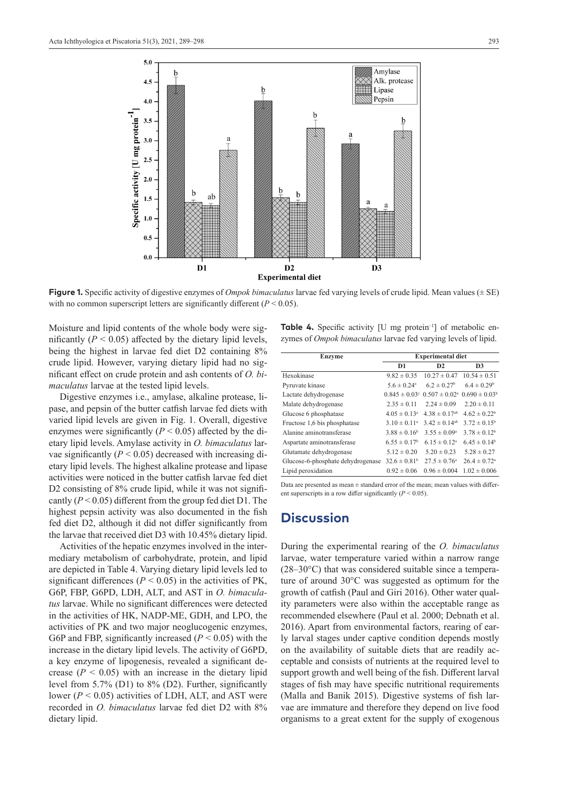

**Figure 1.** Specific activity of digestive enzymes of *Ompok bimaculatus* larvae fed varying levels of crude lipid. Mean values (± SE) with no common superscript letters are significantly different  $(P < 0.05)$ .

Moisture and lipid contents of the whole body were significantly  $(P < 0.05)$  affected by the dietary lipid levels, being the highest in larvae fed diet D2 containing 8% crude lipid. However, varying dietary lipid had no significant effect on crude protein and ash contents of *O. bimaculatus* larvae at the tested lipid levels.

Digestive enzymes i.e., amylase, alkaline protease, lipase, and pepsin of the butter catfish larvae fed diets with varied lipid levels are given in Fig. 1. Overall, digestive enzymes were significantly  $(P < 0.05)$  affected by the dietary lipid levels. Amylase activity in *O. bimaculatus* larvae significantly  $(P < 0.05)$  decreased with increasing dietary lipid levels. The highest alkaline protease and lipase activities were noticed in the butter catfish larvae fed diet D2 consisting of 8% crude lipid, while it was not significantly (*P* < 0.05) different from the group fed diet D1. The highest pepsin activity was also documented in the fish fed diet D2, although it did not differ significantly from the larvae that received diet D3 with 10.45% dietary lipid.

Activities of the hepatic enzymes involved in the intermediary metabolism of carbohydrate, protein, and lipid are depicted in Table 4. Varying dietary lipid levels led to significant differences ( $P < 0.05$ ) in the activities of PK, G6P, FBP, G6PD, LDH, ALT, and AST in *O. bimaculatus* larvae. While no significant differences were detected in the activities of HK, NADP-ME, GDH, and LPO, the activities of PK and two major neoglucogenic enzymes, G6P and FBP, significantly increased (*P* < 0.05) with the increase in the dietary lipid levels. The activity of G6PD, a key enzyme of lipogenesis, revealed a significant decrease  $(P < 0.05)$  with an increase in the dietary lipid level from 5.7% (D1) to 8% (D2). Further, significantly lower ( $P < 0.05$ ) activities of LDH, ALT, and AST were recorded in *O. bimaculatus* larvae fed diet D2 with 8% dietary lipid.

**Table 4.** Specific activity [U mg protein<sup>-1</sup>] of metabolic enzymes of *Ompok bimaculatus* larvae fed varying levels of lipid.

| <b>Enzyme</b>                     | <b>Experimental diet</b>     |                               |                              |  |
|-----------------------------------|------------------------------|-------------------------------|------------------------------|--|
|                                   | D <sub>1</sub>               | D2                            | D <sub>3</sub>               |  |
| Hexokinase                        | $9.82 \pm 0.35$              | $10.27 \pm 0.47$              | $10.54 \pm 0.51$             |  |
| Pyruvate kinase                   | $5.6 \pm 0.24$ <sup>a</sup>  | $6.2 \pm 0.27$ <sup>b</sup>   | $6.4 \pm 0.29^b$             |  |
| Lactate dehydrogenase             | $0.845 \pm 0.03$ °           | $0.507 \pm 0.02$ <sup>a</sup> | $0.690 \pm 0.03^b$           |  |
| Malate dehydrogenase              | $2.35 \pm 0.11$              | $2.24 \pm 0.09$               | $2.20 \pm 0.11$              |  |
| Glucose 6 phosphatase             | $4.05 \pm 0.13$ <sup>a</sup> | $4.38 \pm 0.17$ <sup>ab</sup> | $4.62 \pm 0.22^b$            |  |
| Fructose 1,6 bis phosphatase      | $3.10 \pm 0.11$ <sup>a</sup> | $3.42 \pm 0.14$ <sup>ab</sup> | $3.72 \pm 0.15^b$            |  |
| Alanine aminotransferase          | $3.88 \pm 0.16^b$            | $3.55 \pm 0.09^{\circ}$       | $3.78 \pm 0.12^b$            |  |
| Aspartate aminotransferase        | $6.55 \pm 0.17^{\rm b}$      | $6.15 \pm 0.12^a$             | $6.45 \pm 0.14$ <sup>b</sup> |  |
| Glutamate dehydrogenase           | $5.12 \pm 0.20$              | $5.20 \pm 0.23$               | $5.28 \pm 0.27$              |  |
| Glucose-6-phosphate dehydrogenase | $32.6 \pm 0.81^b$            | $27.5 \pm 0.76$ <sup>a</sup>  | $26.4 \pm 0.72$ <sup>a</sup> |  |
| Lipid peroxidation                | $0.92 \pm 0.06$              | $0.96 \pm 0.004$              | $1.02 \pm 0.006$             |  |

Data are presented as mean  $+$  standard error of the mean; mean values with different superscripts in a row differ significantly  $(P \le 0.05)$ .

# **Discussion**

During the experimental rearing of the *O. bimaculatus* larvae, water temperature varied within a narrow range (28–30°C) that was considered suitable since a temperature of around 30°C was suggested as optimum for the growth of catfish (Paul and Giri 2016). Other water quality parameters were also within the acceptable range as recommended elsewhere (Paul et al. 2000; Debnath et al. 2016). Apart from environmental factors, rearing of early larval stages under captive condition depends mostly on the availability of suitable diets that are readily acceptable and consists of nutrients at the required level to support growth and well being of the fish. Different larval stages of fish may have specific nutritional requirements (Malla and Banik 2015). Digestive systems of fish larvae are immature and therefore they depend on live food organisms to a great extent for the supply of exogenous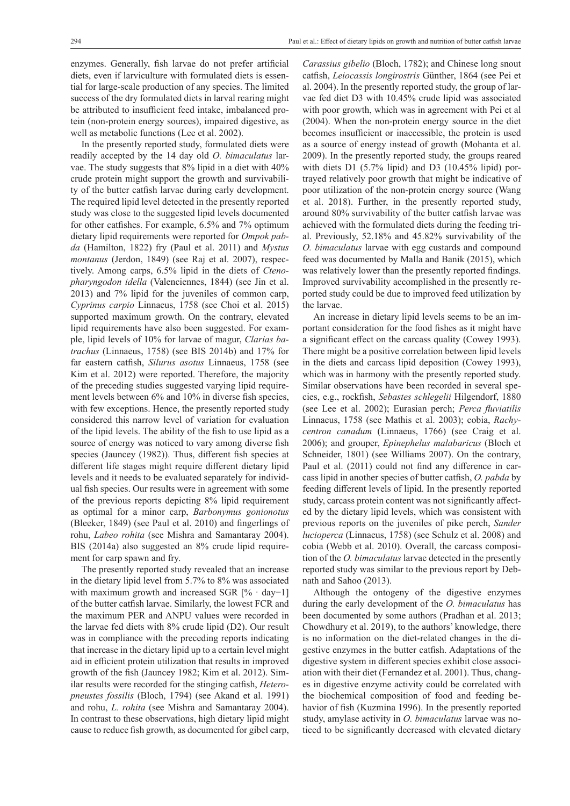enzymes. Generally, fish larvae do not prefer artificial diets, even if larviculture with formulated diets is essential for large-scale production of any species. The limited success of the dry formulated diets in larval rearing might be attributed to insufficient feed intake, imbalanced protein (non-protein energy sources), impaired digestive, as well as metabolic functions (Lee et al. 2002).

In the presently reported study, formulated diets were readily accepted by the 14 day old *O. bimaculatus* larvae. The study suggests that 8% lipid in a diet with 40% crude protein might support the growth and survivability of the butter catfish larvae during early development. The required lipid level detected in the presently reported study was close to the suggested lipid levels documented for other catfishes. For example, 6.5% and 7% optimum dietary lipid requirements were reported for *Ompok pabda* (Hamilton, 1822) fry (Paul et al. 2011) and *Mystus montanus* (Jerdon, 1849) (see Raj et al. 2007), respectively. Among carps, 6.5% lipid in the diets of *Ctenopharyngodon idella* (Valenciennes, 1844) (see Jin et al. 2013) and 7% lipid for the juveniles of common carp, *Cyprinus carpio* Linnaeus, 1758 (see Choi et al. 2015) supported maximum growth. On the contrary, elevated lipid requirements have also been suggested. For example, lipid levels of 10% for larvae of magur, *Clarias batrachus* (Linnaeus, 1758) (see BIS 2014b) and 17% for far eastern catfish, *Silurus asotus* Linnaeus, 1758 (see Kim et al. 2012) were reported. Therefore, the majority of the preceding studies suggested varying lipid requirement levels between 6% and 10% in diverse fish species, with few exceptions. Hence, the presently reported study considered this narrow level of variation for evaluation of the lipid levels. The ability of the fish to use lipid as a source of energy was noticed to vary among diverse fish species (Jauncey (1982)). Thus, different fish species at different life stages might require different dietary lipid levels and it needs to be evaluated separately for individual fish species. Our results were in agreement with some of the previous reports depicting 8% lipid requirement as optimal for a minor carp, *Barbonymus gonionotus* (Bleeker, 1849) (see Paul et al. 2010) and fingerlings of rohu, *Labeo rohita* (see Mishra and Samantaray 2004). BIS (2014a) also suggested an 8% crude lipid requirement for carp spawn and fry.

The presently reported study revealed that an increase in the dietary lipid level from 5.7% to 8% was associated with maximum growth and increased SGR [% · day−1] of the butter catfish larvae. Similarly, the lowest FCR and the maximum PER and ANPU values were recorded in the larvae fed diets with 8% crude lipid (D2). Our result was in compliance with the preceding reports indicating that increase in the dietary lipid up to a certain level might aid in efficient protein utilization that results in improved growth of the fish (Jauncey 1982; Kim et al. 2012). Similar results were recorded for the stinging catfish, *Heteropneustes fossilis* (Bloch, 1794) (see Akand et al. 1991) and rohu, *L. rohita* (see Mishra and Samantaray 2004). In contrast to these observations, high dietary lipid might cause to reduce fish growth, as documented for gibel carp,

*Carassius gibelio* (Bloch, 1782); and Chinese long snout catfish, *Leiocassis longirostris* Günther, 1864 (see Pei et al. 2004). In the presently reported study, the group of larvae fed diet D3 with 10.45% crude lipid was associated with poor growth, which was in agreement with Pei et al (2004). When the non-protein energy source in the diet becomes insufficient or inaccessible, the protein is used as a source of energy instead of growth (Mohanta et al. 2009). In the presently reported study, the groups reared with diets D1 (5.7% lipid) and D3 (10.45% lipid) portrayed relatively poor growth that might be indicative of poor utilization of the non-protein energy source (Wang et al. 2018). Further, in the presently reported study, around 80% survivability of the butter catfish larvae was achieved with the formulated diets during the feeding trial. Previously, 52.18% and 45.82% survivability of the *O. bimaculatus* larvae with egg custards and compound feed was documented by Malla and Banik (2015), which was relatively lower than the presently reported findings. Improved survivability accomplished in the presently reported study could be due to improved feed utilization by the larvae.

An increase in dietary lipid levels seems to be an important consideration for the food fishes as it might have a significant effect on the carcass quality (Cowey 1993). There might be a positive correlation between lipid levels in the diets and carcass lipid deposition (Cowey 1993), which was in harmony with the presently reported study. Similar observations have been recorded in several species, e.g., rockfish, *Sebastes schlegelii* Hilgendorf, 1880 (see Lee et al. 2002); Eurasian perch; *Perca fluviatilis* Linnaeus, 1758 (see Mathis et al. 2003); cobia, *Rachycentron canadum* (Linnaeus, 1766) (see Craig et al. 2006); and grouper, *Epinephelus malabaricus* (Bloch et Schneider, 1801) (see Williams 2007). On the contrary, Paul et al. (2011) could not find any difference in carcass lipid in another species of butter catfish, *O. pabda* by feeding different levels of lipid. In the presently reported study, carcass protein content was not significantly affected by the dietary lipid levels, which was consistent with previous reports on the juveniles of pike perch, *Sander lucioperca* (Linnaeus, 1758) (see Schulz et al. 2008) and cobia (Webb et al. 2010). Overall, the carcass composition of the *O. bimaculatus* larvae detected in the presently reported study was similar to the previous report by Debnath and Sahoo (2013).

Although the ontogeny of the digestive enzymes during the early development of the *O. bimaculatus* has been documented by some authors (Pradhan et al. 2013; Chowdhury et al. 2019), to the authors' knowledge, there is no information on the diet-related changes in the digestive enzymes in the butter catfish. Adaptations of the digestive system in different species exhibit close association with their diet (Fernandez et al. 2001). Thus, changes in digestive enzyme activity could be correlated with the biochemical composition of food and feeding behavior of fish (Kuzmina 1996). In the presently reported study, amylase activity in *O. bimaculatus* larvae was noticed to be significantly decreased with elevated dietary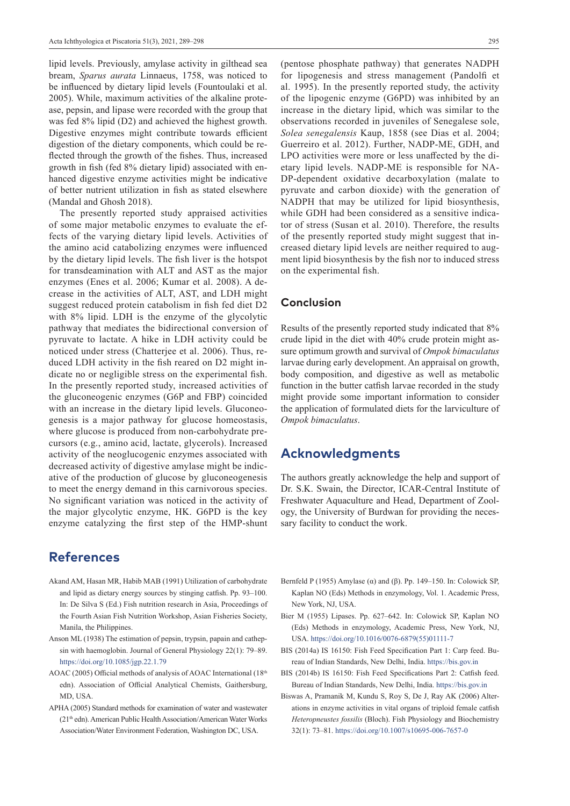lipid levels. Previously, amylase activity in gilthead sea bream, *Sparus aurata* Linnaeus, 1758, was noticed to be influenced by dietary lipid levels (Fountoulaki et al. 2005). While, maximum activities of the alkaline protease, pepsin, and lipase were recorded with the group that was fed 8% lipid (D2) and achieved the highest growth. Digestive enzymes might contribute towards efficient digestion of the dietary components, which could be reflected through the growth of the fishes. Thus, increased growth in fish (fed 8% dietary lipid) associated with enhanced digestive enzyme activities might be indicative of better nutrient utilization in fish as stated elsewhere (Mandal and Ghosh 2018).

The presently reported study appraised activities of some major metabolic enzymes to evaluate the effects of the varying dietary lipid levels. Activities of the amino acid catabolizing enzymes were influenced by the dietary lipid levels. The fish liver is the hotspot for transdeamination with ALT and AST as the major enzymes (Enes et al. 2006; Kumar et al. 2008). A decrease in the activities of ALT, AST, and LDH might suggest reduced protein catabolism in fish fed diet D2 with 8% lipid. LDH is the enzyme of the glycolytic pathway that mediates the bidirectional conversion of pyruvate to lactate. A hike in LDH activity could be noticed under stress (Chatterjee et al. 2006). Thus, reduced LDH activity in the fish reared on D2 might indicate no or negligible stress on the experimental fish. In the presently reported study, increased activities of the gluconeogenic enzymes (G6P and FBP) coincided with an increase in the dietary lipid levels. Gluconeogenesis is a major pathway for glucose homeostasis, where glucose is produced from non-carbohydrate precursors (e.g., amino acid, lactate, glycerols). Increased activity of the neoglucogenic enzymes associated with decreased activity of digestive amylase might be indicative of the production of glucose by gluconeogenesis to meet the energy demand in this carnivorous species. No significant variation was noticed in the activity of the major glycolytic enzyme, HK. G6PD is the key enzyme catalyzing the first step of the HMP-shunt

# **References**

- Akand AM, Hasan MR, Habib MAB (1991) Utilization of carbohydrate and lipid as dietary energy sources by stinging catfish. Pp. 93–100. In: De Silva S (Ed.) Fish nutrition research in Asia, Proceedings of the Fourth Asian Fish Nutrition Workshop, Asian Fisheries Society, Manila, the Philippines.
- Anson ML (1938) The estimation of pepsin, trypsin, papain and cathepsin with haemoglobin. Journal of General Physiology 22(1): 79–89. <https://doi.org/10.1085/jgp.22.1.79>
- AOAC (2005) Official methods of analysis of AOAC International (18th edn). Association of Official Analytical Chemists, Gaithersburg, MD, USA.
- APHA (2005) Standard methods for examination of water and wastewater (21th edn). American Public Health Association/American Water Works Association/Water Environment Federation, Washington DC, USA.

(pentose phosphate pathway) that generates NADPH for lipogenesis and stress management (Pandolfi et al. 1995). In the presently reported study, the activity of the lipogenic enzyme (G6PD) was inhibited by an increase in the dietary lipid, which was similar to the observations recorded in juveniles of Senegalese sole, *Solea senegalensis* Kaup, 1858 (see Dias et al. 2004; Guerreiro et al. 2012). Further, NADP-ME, GDH, and LPO activities were more or less unaffected by the dietary lipid levels. NADP-ME is responsible for NA-DP-dependent oxidative decarboxylation (malate to pyruvate and carbon dioxide) with the generation of NADPH that may be utilized for lipid biosynthesis, while GDH had been considered as a sensitive indicator of stress (Susan et al. 2010). Therefore, the results of the presently reported study might suggest that increased dietary lipid levels are neither required to augment lipid biosynthesis by the fish nor to induced stress on the experimental fish.

#### **Conclusion**

Results of the presently reported study indicated that 8% crude lipid in the diet with 40% crude protein might assure optimum growth and survival of *Ompok bimaculatus* larvae during early development. An appraisal on growth, body composition, and digestive as well as metabolic function in the butter catfish larvae recorded in the study might provide some important information to consider the application of formulated diets for the larviculture of *Ompok bimaculatus*.

### **Acknowledgments**

The authors greatly acknowledge the help and support of Dr. S.K. Swain, the Director, ICAR-Central Institute of Freshwater Aquaculture and Head, Department of Zoology, the University of Burdwan for providing the necessary facility to conduct the work.

- Bernfeld P (1955) Amylase ( $\alpha$ ) and ( $\beta$ ). Pp. 149–150. In: Colowick SP, Kaplan NO (Eds) Methods in enzymology, Vol. 1. Academic Press, New York, NJ, USA.
- Bier M (1955) Lipases. Pp. 627–642. In: Colowick SP, Kaplan NO (Eds) Methods in enzymology, Academic Press, New York, NJ, USA. [https://doi.org/10.1016/0076-6879\(55\)01111-7](https://doi.org/10.1016/0076-6879(55)01111-7)
- BIS (2014a) IS 16150: Fish Feed Specification Part 1: Carp feed. Bureau of Indian Standards, New Delhi, India.<https://bis.gov.in>
- BIS (2014b) IS 16150: Fish Feed Specifications Part 2: Catfish feed. Bureau of Indian Standards, New Delhi, India. <https://bis.gov.in>
- Biswas A, Pramanik M, Kundu S, Roy S, De J, Ray AK (2006) Alterations in enzyme activities in vital organs of triploid female catfish *Heteropneustes fossilis* (Bloch). Fish Physiology and Biochemistry 32(1): 73–81.<https://doi.org/10.1007/s10695-006-7657-0>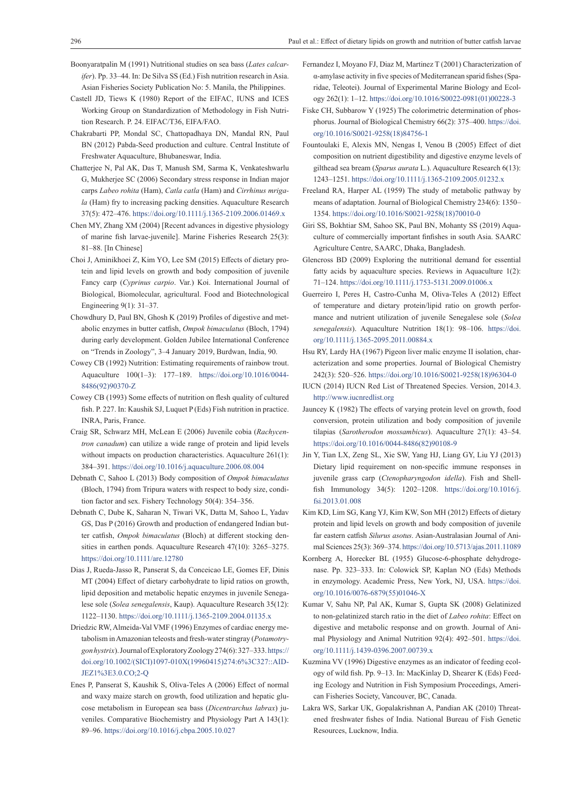- Boonyaratpalin M (1991) Nutritional studies on sea bass (*Lates calcarifer*). Pp. 33–44. In: De Silva SS (Ed.) Fish nutrition research in Asia. Asian Fisheries Society Publication No: 5. Manila, the Philippines.
- Castell JD, Tiews K (1980) Report of the EIFAC, IUNS and ICES Working Group on Standardization of Methodology in Fish Nutrition Research. P. 24. EIFAC/T36, EIFA/FAO.
- Chakrabarti PP, Mondal SC, Chattopadhaya DN, Mandal RN, Paul BN (2012) Pabda-Seed production and culture. Central Institute of Freshwater Aquaculture, Bhubaneswar, India.
- Chatterjee N, Pal AK, Das T, Manush SM, Sarma K, Venkateshwarlu G, Mukherjee SC (2006) Secondary stress response in Indian major carps *Labeo rohita* (Ham), *Catla catla* (Ham) and *Cirrhinus mrigala* (Ham) fry to increasing packing densities. Aquaculture Research 37(5): 472–476. <https://doi.org/10.1111/j.1365-2109.2006.01469.x>
- Chen MY, Zhang XM (2004) [Recent advances in digestive physiology of marine fish larvae-juvenile]. Marine Fisheries Research 25(3): 81–88. [In Chinese]
- Choi J, Aminikhoei Z, Kim YO, Lee SM (2015) Effects of dietary protein and lipid levels on growth and body composition of juvenile Fancy carp (*Cyprinus carpio*. Var.) Koi. International Journal of Biological, Biomolecular, agricultural. Food and Biotechnological Engineering 9(1): 31–37.
- Chowdhury D, Paul BN, Ghosh K (2019) Profiles of digestive and metabolic enzymes in butter catfish, *Ompok bimaculatus* (Bloch, 1794) during early development. Golden Jubilee International Conference on "Trends in Zoology", 3–4 January 2019, Burdwan, India, 90.
- Cowey CB (1992) Nutrition: Estimating requirements of rainbow trout. Aquaculture 100(1–3): 177–189. [https://doi.org/10.1016/0044-](https://doi.org/10.1016/0044-8486(92)90370-Z) [8486\(92\)90370-Z](https://doi.org/10.1016/0044-8486(92)90370-Z)
- Cowey CB (1993) Some effects of nutrition on flesh quality of cultured fish. P. 227. In: Kaushik SJ, Luquet P (Eds) Fish nutrition in practice. INRA, Paris, France.
- Craig SR, Schwarz MH, McLean E (2006) Juvenile cobia (*Rachycentron canadum*) can utilize a wide range of protein and lipid levels without impacts on production characteristics. Aquaculture 261(1): 384–391.<https://doi.org/10.1016/j.aquaculture.2006.08.004>
- Debnath C, Sahoo L (2013) Body composition of *Ompok bimaculatus* (Bloch, 1794) from Tripura waters with respect to body size, condition factor and sex. Fishery Technology 50(4): 354–356.
- Debnath C, Dube K, Saharan N, Tiwari VK, Datta M, Sahoo L, Yadav GS, Das P (2016) Growth and production of endangered Indian butter catfish, *Ompok bimaculatus* (Bloch) at different stocking densities in earthen ponds. Aquaculture Research 47(10): 3265–3275. <https://doi.org/10.1111/are.12780>
- Dias J, Rueda-Jasso R, Panserat S, da Conceicao LE, Gomes EF, Dinis MT (2004) Effect of dietary carbohydrate to lipid ratios on growth, lipid deposition and metabolic hepatic enzymes in juvenile Senegalese sole (*Solea senegalensis*, Kaup). Aquaculture Research 35(12): 1122–1130.<https://doi.org/10.1111/j.1365-2109.2004.01135.x>
- Driedzic RW, Almeida-Val VMF (1996) Enzymes of cardiac energy metabolism in Amazonian teleosts and fresh-water stingray (*Potamotrygon hystrix*). Journal of Exploratory Zoology 274(6): 327–333. [https://](https://doi.org/10.1002/(SICI)1097-010X(19960415)274:6%3C327::AID-JEZ1%3E3.0.CO;2-Q) [doi.org/10.1002/\(SICI\)1097-010X\(19960415\)274:6%3C327::AID-](https://doi.org/10.1002/(SICI)1097-010X(19960415)274:6%3C327::AID-JEZ1%3E3.0.CO;2-Q)[JEZ1%3E3.0.CO;2-Q](https://doi.org/10.1002/(SICI)1097-010X(19960415)274:6%3C327::AID-JEZ1%3E3.0.CO;2-Q)
- Enes P, Panserat S, Kaushik S, Oliva-Teles A (2006) Effect of normal and waxy maize starch on growth, food utilization and hepatic glucose metabolism in European sea bass (*Dicentrarchus labrax*) juveniles. Comparative Biochemistry and Physiology Part A 143(1): 89–96.<https://doi.org/10.1016/j.cbpa.2005.10.027>
- Fernandez I, Moyano FJ, Diaz M, Martinez T (2001) Characterization of α-amylase activity in five species of Mediterranean sparid fishes (Sparidae, Teleotei). Journal of Experimental Marine Biology and Ecology 262(1): 1–12. [https://doi.org/10.1016/S0022-0981\(01\)00228-3](https://doi.org/10.1016/S0022-0981(01)00228-3)
- Fiske CH, Subbarow Y (1925) The colorimetric determination of phosphorus. Journal of Biological Chemistry 66(2): 375–400. [https://doi.](https://doi.org/10.1016/S0021-9258(18)84756-1) [org/10.1016/S0021-9258\(18\)84756-1](https://doi.org/10.1016/S0021-9258(18)84756-1)
- Fountoulaki E, Alexis MN, Nengas I, Venou B (2005) Effect of diet composition on nutrient digestibility and digestive enzyme levels of gilthead sea bream (*Sparus aurata* L.). Aquaculture Research 6(13): 1243–1251.<https://doi.org/10.1111/j.1365-2109.2005.01232.x>
- Freeland RA, Harper AL (1959) The study of metabolic pathway by means of adaptation. Journal of Biological Chemistry 234(6): 1350– 1354. [https://doi.org/10.1016/S0021-9258\(18\)70010-0](https://doi.org/10.1016/S0021-9258(18)70010-0)
- Giri SS, Bokhtiar SM, Sahoo SK, Paul BN, Mohanty SS (2019) Aquaculture of commercially important finfishes in south Asia. SAARC Agriculture Centre, SAARC, Dhaka, Bangladesh.
- Glencross BD (2009) Exploring the nutritional demand for essential fatty acids by aquaculture species. Reviews in Aquaculture 1(2): 71–124.<https://doi.org/10.1111/j.1753-5131.2009.01006.x>
- Guerreiro I, Peres H, Castro-Cunha M, Oliva-Teles A (2012) Effect of temperature and dietary protein/lipid ratio on growth performance and nutrient utilization of juvenile Senegalese sole (*Solea senegalensis*). Aquaculture Nutrition 18(1): 98–106. [https://doi.](https://doi.org/10.1111/j.1365-2095.2011.00884.x) [org/10.1111/j.1365-2095.2011.00884.x](https://doi.org/10.1111/j.1365-2095.2011.00884.x)
- Hsu RY, Lardy HA (1967) Pigeon liver malic enzyme II isolation, characterization and some properties. Journal of Biological Chemistry 242(3): 520–526. [https://doi.org/10.1016/S0021-9258\(18\)96304-0](https://doi.org/10.1016/S0021-9258(18)96304-0)
- IUCN (2014) IUCN Red List of Threatened Species. Version, 2014.3. <http://www.iucnredlist.org>
- Jauncey K (1982) The effects of varying protein level on growth, food conversion, protein utilization and body composition of juvenile tilapias (*Sarotherodon mossambicus*). Aquaculture 27(1): 43–54. [https://doi.org/10.1016/0044-8486\(82\)90108-9](https://doi.org/10.1016/0044-8486(82)90108-9)
- Jin Y, Tian LX, Zeng SL, Xie SW, Yang HJ, Liang GY, Liu YJ (2013) Dietary lipid requirement on non-specific immune responses in juvenile grass carp (*Ctenopharyngodon idella*). Fish and Shellfish Immunology 34(5): 1202–1208. [https://doi.org/10.1016/j.](https://doi.org/10.1016/j.fsi.2013.01.008) [fsi.2013.01.008](https://doi.org/10.1016/j.fsi.2013.01.008)
- Kim KD, Lim SG, Kang YJ, Kim KW, Son MH (2012) Effects of dietary protein and lipid levels on growth and body composition of juvenile far eastern catfish *Silurus asotus*. Asian-Australasian Journal of Animal Sciences 25(3): 369–374.<https://doi.org/10.5713/ajas.2011.11089>
- Kornberg A, Horecker BL (1955) Glucose-6-phosphate dehydrogenase. Pp. 323–333. In: Colowick SP, Kaplan NO (Eds) Methods in enzymology. Academic Press, New York, NJ, USA. [https://doi.](https://doi.org/10.1016/0076-6879(55)01046-X) [org/10.1016/0076-6879\(55\)01046-X](https://doi.org/10.1016/0076-6879(55)01046-X)
- Kumar V, Sahu NP, Pal AK, Kumar S, Gupta SK (2008) Gelatinized to non-gelatinized starch ratio in the diet of *Labeo rohita*: Effect on digestive and metabolic response and on growth. Journal of Animal Physiology and Animal Nutrition 92(4): 492–501. [https://doi.](https://doi.org/10.1111/j.1439-0396.2007.00739.x) [org/10.1111/j.1439-0396.2007.00739.x](https://doi.org/10.1111/j.1439-0396.2007.00739.x)
- Kuzmina VV (1996) Digestive enzymes as an indicator of feeding ecology of wild fish. Pp. 9–13. In: MacKinlay D, Shearer K (Eds) Feeding Ecology and Nutrition in Fish Symposium Proceedings, American Fisheries Society, Vancouver, BC, Canada.
- Lakra WS, Sarkar UK, Gopalakrishnan A, Pandian AK (2010) Threatened freshwater fishes of India. National Bureau of Fish Genetic Resources, Lucknow, India.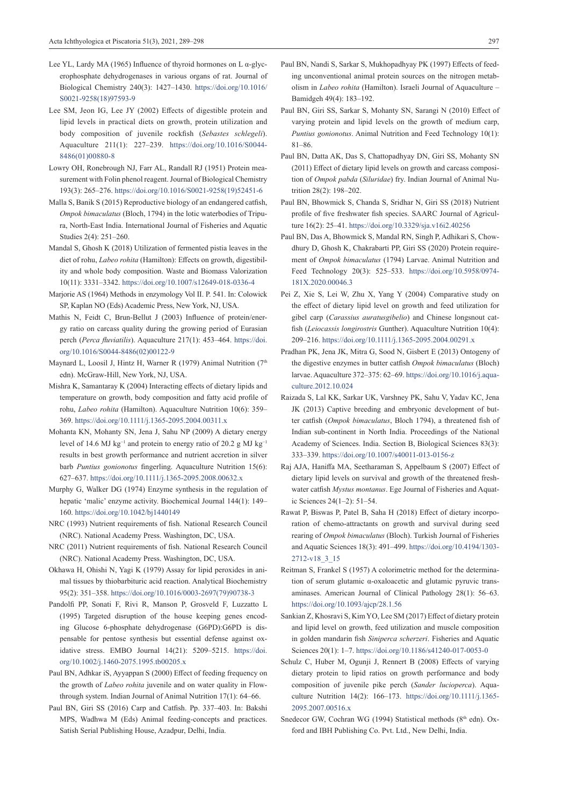- Lee YL, Lardy MA (1965) Influence of thyroid hormones on L α-glycerophosphate dehydrogenases in various organs of rat. Journal of Biological Chemistry 240(3): 1427–1430. [https://doi.org/10.1016/](https://doi.org/10.1016/S0021-9258(18)97593-9) [S0021-9258\(18\)97593-9](https://doi.org/10.1016/S0021-9258(18)97593-9)
- Lee SM, Jeon IG, Lee JY (2002) Effects of digestible protein and lipid levels in practical diets on growth, protein utilization and body composition of juvenile rockfish (*Sebastes schlegeli*). Aquaculture 211(1): 227–239. [https://doi.org/10.1016/S0044-](https://doi.org/10.1016/S0044-8486(01)00880-8) [8486\(01\)00880-8](https://doi.org/10.1016/S0044-8486(01)00880-8)
- Lowry OH, Ronebrough NJ, Farr AL, Randall RJ (1951) Protein measurement with Folin phenol reagent. Journal of Biological Chemistry 193(3): 265–276. [https://doi.org/10.1016/S0021-9258\(19\)52451-6](https://doi.org/10.1016/S0021-9258(19)52451-6)
- Malla S, Banik S (2015) Reproductive biology of an endangered catfish, *Ompok bimaculatus* (Bloch, 1794) in the lotic waterbodies of Tripura, North-East India. International Journal of Fisheries and Aquatic Studies 2(4): 251–260.
- Mandal S, Ghosh K (2018) Utilization of fermented pistia leaves in the diet of rohu, *Labeo rohita* (Hamilton): Effects on growth, digestibility and whole body composition. Waste and Biomass Valorization 10(11): 3331–3342. <https://doi.org/10.1007/s12649-018-0336-4>
- Marjorie AS (1964) Methods in enzymology Vol II. P. 541. In: Colowick SP, Kaplan NO (Eds) Academic Press, New York, NJ, USA.
- Mathis N, Feidt C, Brun-Bellut J (2003) Influence of protein/energy ratio on carcass quality during the growing period of Eurasian perch (*Perca fluviatilis*). Aquaculture 217(1): 453–464. [https://doi.](https://doi.org/10.1016/S0044-8486(02)00122-9) [org/10.1016/S0044-8486\(02\)00122-9](https://doi.org/10.1016/S0044-8486(02)00122-9)
- Maynard L, Loosil J, Hintz H, Warner R (1979) Animal Nutrition (7<sup>th</sup> edn). McGraw-Hill, New York, NJ, USA.
- Mishra K, Samantaray K (2004) Interacting effects of dietary lipids and temperature on growth, body composition and fatty acid profile of rohu, *Labeo rohita* (Hamilton). Aquaculture Nutrition 10(6): 359– 369.<https://doi.org/10.1111/j.1365-2095.2004.00311.x>
- Mohanta KN, Mohanty SN, Jena J, Sahu NP (2009) A dietary energy level of 14.6 MJ kg<sup>-1</sup> and protein to energy ratio of 20.2 g MJ kg<sup>-1</sup> results in best growth performance and nutrient accretion in silver barb *Puntius gonionotus* fingerling. Aquaculture Nutrition 15(6): 627–637.<https://doi.org/10.1111/j.1365-2095.2008.00632.x>
- Murphy G, Walker DG (1974) Enzyme synthesis in the regulation of hepatic 'malic' enzyme activity. Biochemical Journal 144(1): 149– 160.<https://doi.org/10.1042/bj1440149>
- NRC (1993) Nutrient requirements of fish. National Research Council (NRC). National Academy Press. Washington, DC, USA.
- NRC (2011) Nutrient requirements of fish. National Research Council (NRC). National Academy Press. Washington, DC, USA.
- Okhawa H, Ohishi N, Yagi K (1979) Assay for lipid peroxides in animal tissues by thiobarbituric acid reaction. Analytical Biochemistry 95(2): 351–358. [https://doi.org/10.1016/0003-2697\(79\)90738-3](https://doi.org/10.1016/0003-2697(79)90738-3)
- Pandolfi PP, Sonati F, Rivi R, Manson P, Grosveld F, Luzzatto L (1995) Targeted disruption of the house keeping genes encoding Glucose 6-phosphate dehydrogenase (G6PD):G6PD is dispensable for pentose synthesis but essential defense against oxidative stress. EMBO Journal 14(21): 5209–5215. [https://doi.](https://doi.org/10.1002/j.1460-2075.1995.tb00205.x) [org/10.1002/j.1460-2075.1995.tb00205.x](https://doi.org/10.1002/j.1460-2075.1995.tb00205.x)
- Paul BN, Adhkar iS, Ayyappan S (2000) Effect of feeding frequency on the growth of *Labeo rohita* juvenile and on water quality in Flowthrough system. Indian Journal of Animal Nutrition 17(1): 64–66.
- Paul BN, Giri SS (2016) Carp and Catfish. Pp. 337–403. In: Bakshi MPS, Wadhwa M (Eds) Animal feeding-concepts and practices. Satish Serial Publishing House, Azadpur, Delhi, India.
- Paul BN, Nandi S, Sarkar S, Mukhopadhyay PK (1997) Effects of feeding unconventional animal protein sources on the nitrogen metabolism in *Labeo rohita* (Hamilton). Israeli Journal of Aquaculture – Bamidgeh 49(4): 183–192.
- Paul BN, Giri SS, Sarkar S, Mohanty SN, Sarangi N (2010) Effect of varying protein and lipid levels on the growth of medium carp, *Puntius gonionotus*. Animal Nutrition and Feed Technology 10(1): 81–86.
- Paul BN, Datta AK, Das S, Chattopadhyay DN, Giri SS, Mohanty SN (2011) Effect of dietary lipid levels on growth and carcass composition of *Ompok pabda* (*Siluridae*) fry. Indian Journal of Animal Nutrition 28(2): 198–202.
- Paul BN, Bhowmick S, Chanda S, Sridhar N, Giri SS (2018) Nutrient profile of five freshwater fish species. SAARC Journal of Agriculture 16(2): 25–41. <https://doi.org/10.3329/sja.v16i2.40256>
- Paul BN, Das A, Bhowmick S, Mandal RN, Singh P, Adhikari S, Chowdhury D, Ghosh K, Chakrabarti PP, Giri SS (2020) Protein requirement of *Ompok bimaculatus* (1794) Larvae. Animal Nutrition and Feed Technology 20(3): 525–533. [https://doi.org/10.5958/0974-](https://doi.org/10.5958/0974-181X.2020.00046.3) [181X.2020.00046.3](https://doi.org/10.5958/0974-181X.2020.00046.3)
- Pei Z, Xie S, Lei W, Zhu X, Yang Y (2004) Comparative study on the effect of dietary lipid level on growth and feed utilization for gibel carp (*Carassius auratusgibelio*) and Chinese longsnout catfish (*Leiocassis longirostris* Gunther). Aquaculture Nutrition 10(4): 209–216. <https://doi.org/10.1111/j.1365-2095.2004.00291.x>
- Pradhan PK, Jena JK, Mitra G, Sood N, Gisbert E (2013) Ontogeny of the digestive enzymes in butter catfish *Ompok bimaculatus* (Bloch) larvae. Aquaculture 372–375: 62–69. [https://doi.org/10.1016/j.aqua](https://doi.org/10.1016/j.aquaculture.2012.10.024)[culture.2012.10.024](https://doi.org/10.1016/j.aquaculture.2012.10.024)
- Raizada S, Lal KK, Sarkar UK, Varshney PK, Sahu V, Yadav KC, Jena JK (2013) Captive breeding and embryonic development of butter catfish (*Ompok bimaculatus*, Bloch 1794), a threatened fish of Indian sub-continent in North India. Proceedings of the National Academy of Sciences. India. Section B, Biological Sciences 83(3): 333–339. <https://doi.org/10.1007/s40011-013-0156-z>
- Raj AJA, Haniffa MA, Seetharaman S, Appelbaum S (2007) Effect of dietary lipid levels on survival and growth of the threatened freshwater catfish *Mystus montanus*. Ege Journal of Fisheries and Aquatic Sciences 24(1–2): 51–54.
- Rawat P, Biswas P, Patel B, Saha H (2018) Effect of dietary incorporation of chemo-attractants on growth and survival during seed rearing of *Ompok bimaculatus* (Bloch). Turkish Journal of Fisheries and Aquatic Sciences 18(3): 491–499. [https://doi.org/10.4194/1303-](https://doi.org/10.4194/1303-2712-v18_3_15) [2712-v18\\_3\\_15](https://doi.org/10.4194/1303-2712-v18_3_15)
- Reitman S, Frankel S (1957) A colorimetric method for the determination of serum glutamic α-oxaloacetic and glutamic pyruvic transaminases. American Journal of Clinical Pathology 28(1): 56–63. <https://doi.org/10.1093/ajcp/28.1.56>
- Sankian Z, Khosravi S, Kim YO, Lee SM (2017) Effect of dietary protein and lipid level on growth, feed utilization and muscle composition in golden mandarin fish *Siniperca scherzeri*. Fisheries and Aquatic Sciences 20(1): 1–7.<https://doi.org/10.1186/s41240-017-0053-0>
- Schulz C, Huber M, Ogunji J, Rennert B (2008) Effects of varying dietary protein to lipid ratios on growth performance and body composition of juvenile pike perch (*Sander lucioperca*). Aquaculture Nutrition 14(2): 166–173. [https://doi.org/10.1111/j.1365-](https://doi.org/10.1111/j.1365-2095.2007.00516.x) [2095.2007.00516.x](https://doi.org/10.1111/j.1365-2095.2007.00516.x)
- Snedecor GW, Cochran WG (1994) Statistical methods ( $8<sup>th</sup>$  edn). Oxford and IBH Publishing Co. Pvt. Ltd., New Delhi, India.